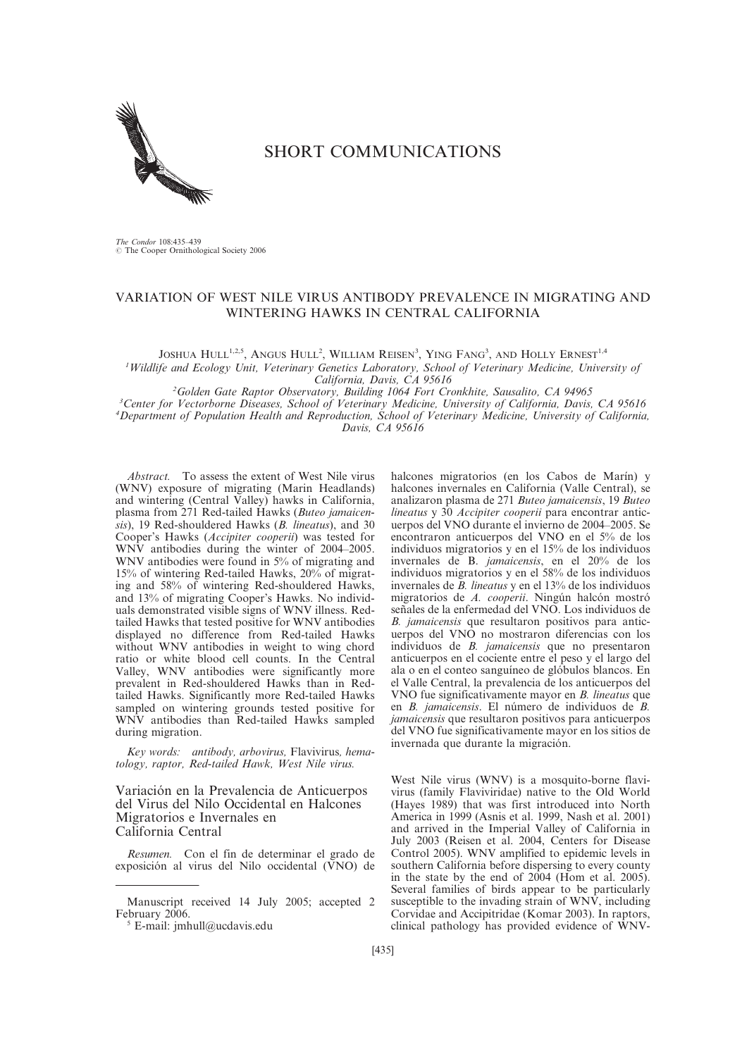

# SHORT COMMUNICATIONS

The Condor 108:435-439<br>© The Cooper Ornithological Society 2006

## VARIATION OF WEST NILE VIRUS ANTIBODY PREVALENCE IN MIGRATING AND WINTERING HAWKS IN CENTRAL CALIFORNIA

JOSHUA HULL<sup>1,2,5</sup>, Angus Hull<sup>2</sup>, William Reisen<sup>3</sup>, Ying Fang<sup>3</sup>, and Holly Ernest<sup>1,4</sup> 1 Wildlife and Ecology Unit, Veterinary Genetics Laboratory, School of Veterinary Medicine, University of

California, Davis, CA 95616<br><sup>2</sup>Golden Gate Raptor Observatory, Building 1064 Fort Cronkhite, Sausalito, CA 94965<sup>2</sup> <sup>2</sup>Golden Gate Raptor Observatory, Building 1064 Fort Cronkhite, Sausalito, CA 94965<sup>3</sup><br><sup>3</sup>Center for Vectorborne Diseases, School of Veterinary Medicine, University of California, Davis

<sup>3</sup> Center for Vectorborne Diseases, School of Veterinary Medicine, University of California, Davis, CA 95616<br><sup>4</sup> Denartment of Population Health and Reproduction, School of Veterinary Medicine, University of California

<sup>4</sup>Department of Population Health and Reproduction, School of Veterinary Medicine, University of California,

Davis, CA 95616

Abstract. To assess the extent of West Nile virus (WNV) exposure of migrating (Marin Headlands) and wintering (Central Valley) hawks in California, plasma from 271 Red-tailed Hawks (Buteo jamaicensis), 19 Red-shouldered Hawks (B. lineatus), and 30 Cooper's Hawks (Accipiter cooperii) was tested for WNV antibodies during the winter of 2004–2005. WNV antibodies were found in 5% of migrating and 15% of wintering Red-tailed Hawks, 20% of migrating and 58% of wintering Red-shouldered Hawks, and 13% of migrating Cooper's Hawks. No individuals demonstrated visible signs of WNV illness. Redtailed Hawks that tested positive for WNV antibodies displayed no difference from Red-tailed Hawks without WNV antibodies in weight to wing chord ratio or white blood cell counts. In the Central Valley, WNV antibodies were significantly more prevalent in Red-shouldered Hawks than in Redtailed Hawks. Significantly more Red-tailed Hawks sampled on wintering grounds tested positive for WNV antibodies than Red-tailed Hawks sampled during migration.

Key words: antibody, arbovirus, Flavivirus, hematology, raptor, Red-tailed Hawk, West Nile virus.

Variación en la Prevalencia de Anticuerpos del Virus del Nilo Occidental en Halcones Migratorios e Invernales en California Central

Resumen. Con el fin de determinar el grado de exposición al virus del Nilo occidental (VNO) de

halcones migratorios (en los Cabos de Marín) y halcones invernales en California (Valle Central), se analizaron plasma de 271 Buteo jamaicensis, 19 Buteo lineatus y 30 Accipiter cooperii para encontrar anticuerpos del VNO durante el invierno de 2004–2005. Se encontraron anticuerpos del VNO en el 5% de los individuos migratorios y en el 15% de los individuos invernales de B. jamaicensis, en el 20% de los individuos migratorios y en el 58% de los individuos invernales de B. lineatus y en el 13% de los individuos migratorios de A. cooperii. Ningún halcón mostró señales de la enfermedad del VNO. Los individuos de B. jamaicensis que resultaron positivos para anticuerpos del VNO no mostraron diferencias con los individuos de B. jamaicensis que no presentaron anticuerpos en el cociente entre el peso y el largo del ala o en el conteo sanguíneo de glóbulos blancos. En el Valle Central, la prevalencia de los anticuerpos del VNO fue significativamente mayor en B. lineatus que en B. jamaicensis. El número de individuos de B. jamaicensis que resultaron positivos para anticuerpos del VNO fue significativamente mayor en los sitios de invernada que durante la migración.

West Nile virus (WNV) is a mosquito-borne flavivirus (family Flaviviridae) native to the Old World (Hayes 1989) that was first introduced into North America in 1999 (Asnis et al. 1999, Nash et al. 2001) and arrived in the Imperial Valley of California in July 2003 (Reisen et al. 2004, Centers for Disease Control 2005). WNV amplified to epidemic levels in southern California before dispersing to every county in the state by the end of 2004 (Hom et al. 2005). Several families of birds appear to be particularly susceptible to the invading strain of WNV, including Corvidae and Accipitridae (Komar 2003). In raptors, clinical pathology has provided evidence of WNV-

Manuscript received 14 July 2005; accepted 2

 $5$  E-mail: jmhull@ucdavis.edu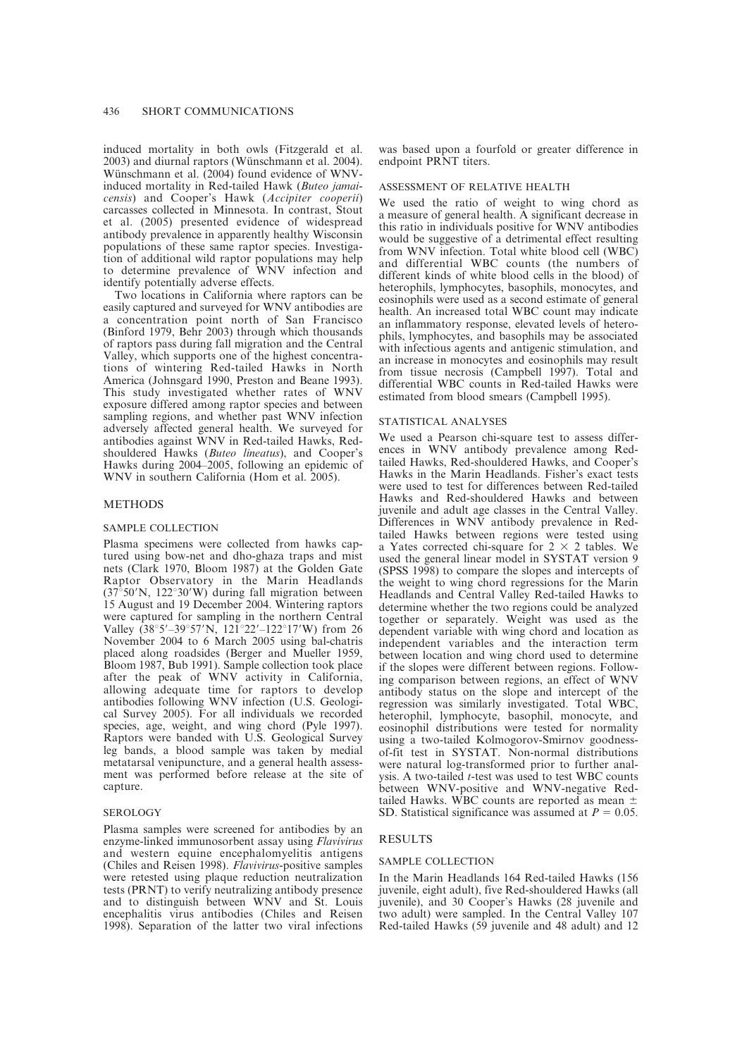induced mortality in both owls (Fitzgerald et al.  $2003$ ) and diurnal raptors (Wünschmann et al.  $2004$ ). Wünschmann et al. (2004) found evidence of WNVinduced mortality in Red-tailed Hawk (Buteo jamaicensis) and Cooper's Hawk (Accipiter cooperii) carcasses collected in Minnesota. In contrast, Stout et al. (2005) presented evidence of widespread antibody prevalence in apparently healthy Wisconsin populations of these same raptor species. Investigation of additional wild raptor populations may help to determine prevalence of WNV infection and identify potentially adverse effects.

Two locations in California where raptors can be easily captured and surveyed for WNV antibodies are a concentration point north of San Francisco (Binford 1979, Behr 2003) through which thousands of raptors pass during fall migration and the Central Valley, which supports one of the highest concentrations of wintering Red-tailed Hawks in North America (Johnsgard 1990, Preston and Beane 1993). This study investigated whether rates of WNV exposure differed among raptor species and between sampling regions, and whether past WNV infection adversely affected general health. We surveyed for antibodies against WNV in Red-tailed Hawks, Redshouldered Hawks (Buteo lineatus), and Cooper's Hawks during 2004–2005, following an epidemic of WNV in southern California (Hom et al. 2005).

## **METHODS**

#### SAMPLE COLLECTION

Plasma specimens were collected from hawks captured using bow-net and dho-ghaza traps and mist nets (Clark 1970, Bloom 1987) at the Golden Gate Raptor Observatory in the Marin Headlands  $(37°50'N, 122°30'W)$  during fall migration between 15 August and 19 December 2004. Wintering raptors were captured for sampling in the northern Central Valley  $(38°5' - 39°57'N, 121°22' - 122°17'W)$  from 26 November 2004 to 6 March 2005 using bal-chatris placed along roadsides (Berger and Mueller 1959, Bloom 1987, Bub 1991). Sample collection took place after the peak of WNV activity in California, allowing adequate time for raptors to develop antibodies following WNV infection (U.S. Geological Survey 2005). For all individuals we recorded species, age, weight, and wing chord (Pyle 1997). Raptors were banded with U.S. Geological Survey leg bands, a blood sample was taken by medial metatarsal venipuncture, and a general health assessment was performed before release at the site of capture.

#### SEROLOGY

Plasma samples were screened for antibodies by an enzyme-linked immunosorbent assay using Flavivirus and western equine encephalomyelitis antigens (Chiles and Reisen 1998). Flavivirus-positive samples were retested using plaque reduction neutralization tests (PRNT) to verify neutralizing antibody presence and to distinguish between WNV and St. Louis encephalitis virus antibodies (Chiles and Reisen 1998). Separation of the latter two viral infections

was based upon a fourfold or greater difference in endpoint PRNT titers.

#### ASSESSMENT OF RELATIVE HEALTH

We used the ratio of weight to wing chord as a measure of general health. A significant decrease in this ratio in individuals positive for WNV antibodies would be suggestive of a detrimental effect resulting from WNV infection. Total white blood cell (WBC) and differential WBC counts (the numbers of different kinds of white blood cells in the blood) of heterophils, lymphocytes, basophils, monocytes, and eosinophils were used as a second estimate of general health. An increased total WBC count may indicate an inflammatory response, elevated levels of heterophils, lymphocytes, and basophils may be associated with infectious agents and antigenic stimulation, and an increase in monocytes and eosinophils may result from tissue necrosis (Campbell 1997). Total and differential WBC counts in Red-tailed Hawks were estimated from blood smears (Campbell 1995).

#### STATISTICAL ANALYSES

We used a Pearson chi-square test to assess differences in WNV antibody prevalence among Redtailed Hawks, Red-shouldered Hawks, and Cooper's Hawks in the Marin Headlands. Fisher's exact tests were used to test for differences between Red-tailed Hawks and Red-shouldered Hawks and between juvenile and adult age classes in the Central Valley. Differences in WNV antibody prevalence in Redtailed Hawks between regions were tested using a Yates corrected chi-square for  $2 \times 2$  tables. We used the general linear model in SYSTAT version 9 (SPSS 1998) to compare the slopes and intercepts of the weight to wing chord regressions for the Marin Headlands and Central Valley Red-tailed Hawks to determine whether the two regions could be analyzed together or separately. Weight was used as the dependent variable with wing chord and location as independent variables and the interaction term between location and wing chord used to determine if the slopes were different between regions. Following comparison between regions, an effect of WNV antibody status on the slope and intercept of the regression was similarly investigated. Total WBC, heterophil, lymphocyte, basophil, monocyte, and eosinophil distributions were tested for normality using a two-tailed Kolmogorov-Smirnov goodnessof-fit test in SYSTAT. Non-normal distributions were natural log-transformed prior to further analysis. A two-tailed t-test was used to test WBC counts between WNV-positive and WNV-negative Redtailed Hawks. WBC counts are reported as mean  $\pm$ SD. Statistical significance was assumed at  $P = 0.05$ .

#### RESULTS

#### SAMPLE COLLECTION

In the Marin Headlands 164 Red-tailed Hawks (156 juvenile, eight adult), five Red-shouldered Hawks (all juvenile), and 30 Cooper's Hawks (28 juvenile and two adult) were sampled. In the Central Valley 107 Red-tailed Hawks (59 juvenile and 48 adult) and 12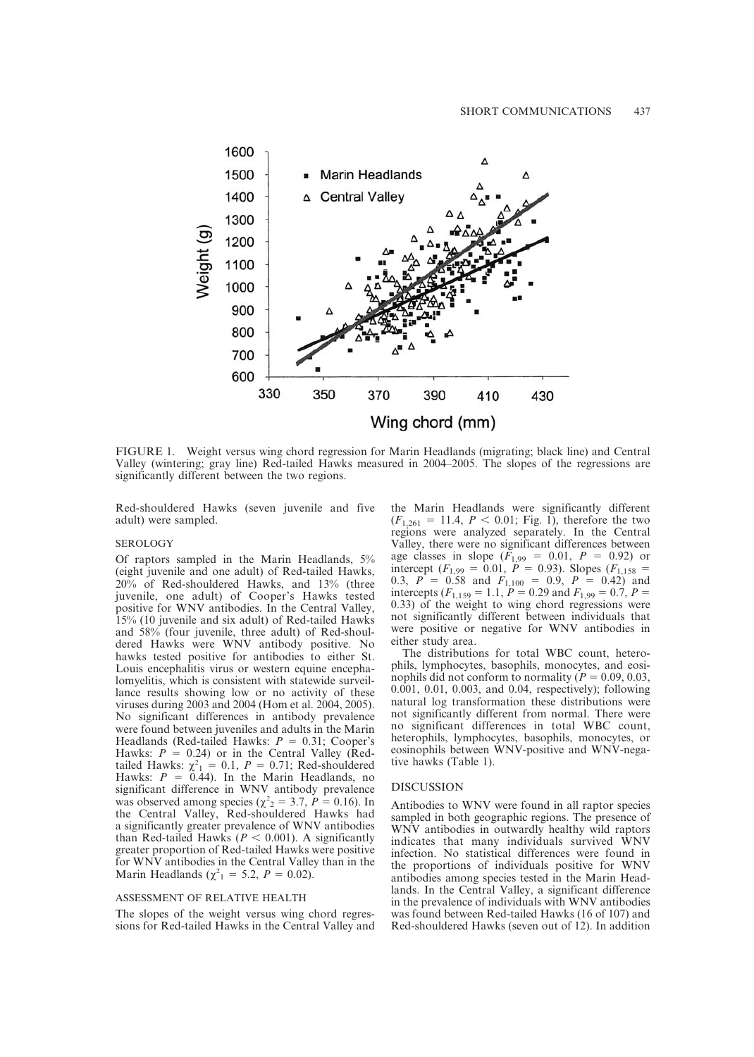

FIGURE 1. Weight versus wing chord regression for Marin Headlands (migrating; black line) and Central Valley (wintering; gray line) Red-tailed Hawks measured in 2004–2005. The slopes of the regressions are significantly different between the two regions.

Red-shouldered Hawks (seven juvenile and five adult) were sampled.

#### SEROLOGY

Of raptors sampled in the Marin Headlands, 5% (eight juvenile and one adult) of Red-tailed Hawks, 20% of Red-shouldered Hawks, and 13% (three juvenile, one adult) of Cooper's Hawks tested positive for WNV antibodies. In the Central Valley, 15% (10 juvenile and six adult) of Red-tailed Hawks and 58% (four juvenile, three adult) of Red-shouldered Hawks were WNV antibody positive. No hawks tested positive for antibodies to either St. Louis encephalitis virus or western equine encephalomyelitis, which is consistent with statewide surveillance results showing low or no activity of these viruses during 2003 and 2004 (Hom et al. 2004, 2005). No significant differences in antibody prevalence were found between juveniles and adults in the Marin Headlands (Red-tailed Hawks:  $P = 0.31$ ; Cooper's Hawks:  $P = 0.24$ ) or in the Central Valley (Redtailed Hawks:  $\chi^2_1 = 0.1$ ,  $P = 0.71$ ; Red-shouldered Hawks:  $P = 0.44$ ). In the Marin Headlands, no significant difference in WNV antibody prevalence was observed among species ( $\chi^2$ <sub>2</sub> = 3.7, *P* = 0.16). In the Central Valley, Red-shouldered Hawks had a significantly greater prevalence of WNV antibodies than Red-tailed Hawks ( $P < 0.001$ ). A significantly greater proportion of Red-tailed Hawks were positive for WNV antibodies in the Central Valley than in the Marin Headlands ( $\chi^2$ <sub>1</sub> = 5.2, *P* = 0.02).

### ASSESSMENT OF RELATIVE HEALTH

The slopes of the weight versus wing chord regressions for Red-tailed Hawks in the Central Valley and the Marin Headlands were significantly different  $(F_{1,261} = 11.4, P < 0.01;$  Fig. 1), therefore the two regions were analyzed separately. In the Central Valley, there were no significant differences between age classes in slope  $(F_{1,99} = 0.01, P = 0.92)$  or intercept  $(F_{1,99} = 0.01, P = 0.93)$ . Slopes  $(F_{1,158} =$ 0.3,  $P = 0.58$  and  $F_{1,100} = 0.9$ ,  $P = 0.42$ ) and intercepts ( $F_{1,159} = 1.1$ ,  $P = 0.29$  and  $F_{1,99} = 0.7$ ,  $P =$ 0.33) of the weight to wing chord regressions were not significantly different between individuals that were positive or negative for WNV antibodies in either study area.

The distributions for total WBC count, heterophils, lymphocytes, basophils, monocytes, and eosinophils did not conform to normality ( $P = 0.09, 0.03$ , 0.001, 0.01, 0.003, and 0.04, respectively); following natural log transformation these distributions were not significantly different from normal. There were no significant differences in total WBC count, heterophils, lymphocytes, basophils, monocytes, or eosinophils between WNV-positive and WNV-negative hawks (Table 1).

#### DISCUSSION

Antibodies to WNV were found in all raptor species sampled in both geographic regions. The presence of WNV antibodies in outwardly healthy wild raptors indicates that many individuals survived WNV infection. No statistical differences were found in the proportions of individuals positive for WNV antibodies among species tested in the Marin Headlands. In the Central Valley, a significant difference in the prevalence of individuals with WNV antibodies was found between Red-tailed Hawks (16 of 107) and Red-shouldered Hawks (seven out of 12). In addition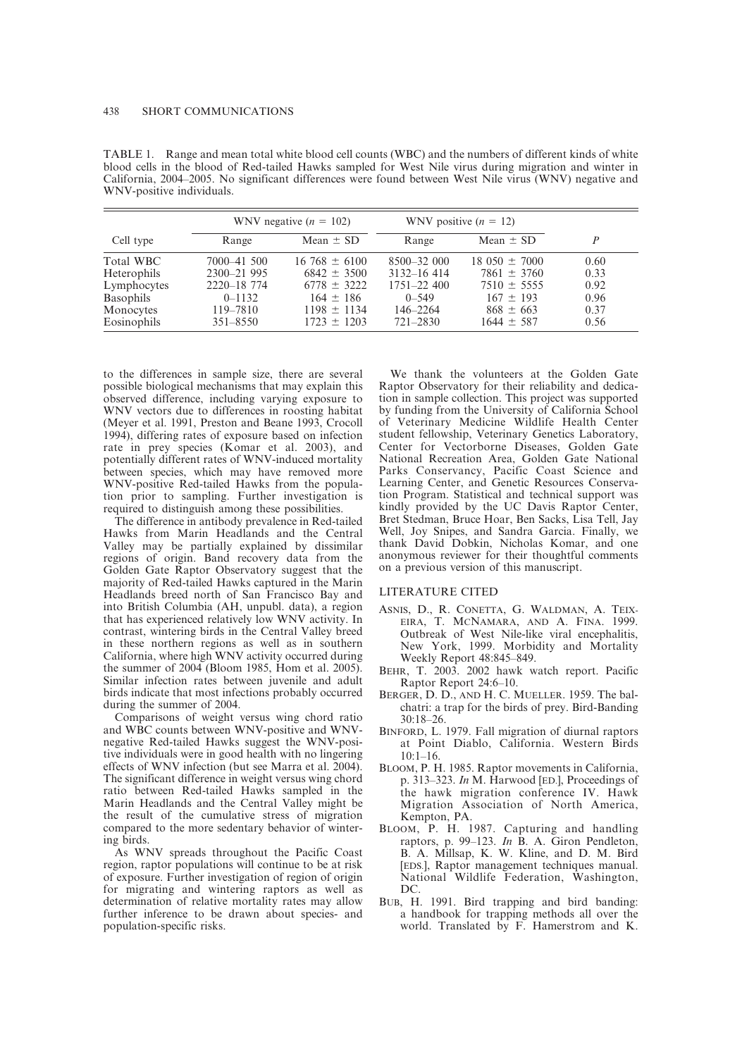|             | WNV negative $(n = 102)$ |                    | WNV positive $(n = 12)$ |                   |      |
|-------------|--------------------------|--------------------|-------------------------|-------------------|------|
| Cell type   | Range                    | Mean $\pm$ SD      | Range                   | Mean $\pm$ SD     | D    |
| Total WBC   | 7000-41 500              | $16\,768 \pm 6100$ | $8500 - 32000$          | $18.050 \pm 7000$ | 0.60 |
| Heterophils | 2300-21 995              | $6842 \pm 3500$    | $3132 - 16414$          | $7861 \pm 3760$   | 0.33 |
| Lymphocytes | 2220-18 774              | $6778 \pm 3222$    | $1751 - 22400$          | $7510 \pm 5555$   | 0.92 |
| Basophils   | $0 - 1132$               | $164 \pm 186$      | $0 - 549$               | $167 \pm 193$     | 0.96 |
| Monocytes   | 119-7810                 | $1198 \pm 1134$    | $146 - 2264$            | $868 \pm 663$     | 0.37 |
| Eosinophils | $351 - 8550$             | $1723 \pm 1203$    | $721 - 2830$            | $1644 \pm 587$    | 0.56 |

TABLE 1. Range and mean total white blood cell counts (WBC) and the numbers of different kinds of white blood cells in the blood of Red-tailed Hawks sampled for West Nile virus during migration and winter in California, 2004–2005. No significant differences were found between West Nile virus (WNV) negative and WNV-positive individuals.

to the differences in sample size, there are several possible biological mechanisms that may explain this observed difference, including varying exposure to WNV vectors due to differences in roosting habitat (Meyer et al. 1991, Preston and Beane 1993, Crocoll 1994), differing rates of exposure based on infection rate in prey species (Komar et al. 2003), and potentially different rates of WNV-induced mortality between species, which may have removed more WNV-positive Red-tailed Hawks from the population prior to sampling. Further investigation is required to distinguish among these possibilities.

The difference in antibody prevalence in Red-tailed Hawks from Marin Headlands and the Central Valley may be partially explained by dissimilar regions of origin. Band recovery data from the Golden Gate Raptor Observatory suggest that the majority of Red-tailed Hawks captured in the Marin Headlands breed north of San Francisco Bay and into British Columbia (AH, unpubl. data), a region that has experienced relatively low WNV activity. In contrast, wintering birds in the Central Valley breed in these northern regions as well as in southern California, where high WNV activity occurred during the summer of 2004 (Bloom 1985, Hom et al. 2005). Similar infection rates between juvenile and adult birds indicate that most infections probably occurred during the summer of 2004.

Comparisons of weight versus wing chord ratio and WBC counts between WNV-positive and WNVnegative Red-tailed Hawks suggest the WNV-positive individuals were in good health with no lingering effects of WNV infection (but see Marra et al. 2004). The significant difference in weight versus wing chord ratio between Red-tailed Hawks sampled in the Marin Headlands and the Central Valley might be the result of the cumulative stress of migration compared to the more sedentary behavior of wintering birds.

As WNV spreads throughout the Pacific Coast region, raptor populations will continue to be at risk of exposure. Further investigation of region of origin for migrating and wintering raptors as well as determination of relative mortality rates may allow further inference to be drawn about species- and population-specific risks.

We thank the volunteers at the Golden Gate Raptor Observatory for their reliability and dedication in sample collection. This project was supported by funding from the University of California School of Veterinary Medicine Wildlife Health Center student fellowship, Veterinary Genetics Laboratory, Center for Vectorborne Diseases, Golden Gate National Recreation Area, Golden Gate National Parks Conservancy, Pacific Coast Science and Learning Center, and Genetic Resources Conservation Program. Statistical and technical support was kindly provided by the UC Davis Raptor Center, Bret Stedman, Bruce Hoar, Ben Sacks, Lisa Tell, Jay Well, Joy Snipes, and Sandra Garcia. Finally, we thank David Dobkin, Nicholas Komar, and one anonymous reviewer for their thoughtful comments on a previous version of this manuscript.

#### LITERATURE CITED

- ASNIS, D., R. CONETTA, G. WALDMAN, A. TEIX-EIRA, T. MCNAMARA, AND A. FINA. 1999. Outbreak of West Nile-like viral encephalitis, New York, 1999. Morbidity and Mortality Weekly Report 48:845–849.
- BEHR, T. 2003. 2002 hawk watch report. Pacific Raptor Report 24:6–10.
- BERGER, D. D., AND H. C. MUELLER. 1959. The balchatri: a trap for the birds of prey. Bird-Banding 30:18–26.
- BINFORD, L. 1979. Fall migration of diurnal raptors at Point Diablo, California. Western Birds  $10:1-16.$
- BLOOM, P. H. 1985. Raptor movements in California, p. 313–323. In M. Harwood [ED.], Proceedings of the hawk migration conference IV. Hawk Migration Association of North America, Kempton, PA.
- BLOOM, P. H. 1987. Capturing and handling raptors, p. 99–123. In B. A. Giron Pendleton, B. A. Millsap, K. W. Kline, and D. M. Bird [EDS.], Raptor management techniques manual. National Wildlife Federation, Washington, DC.
- BUB, H. 1991. Bird trapping and bird banding: a handbook for trapping methods all over the world. Translated by F. Hamerstrom and K.